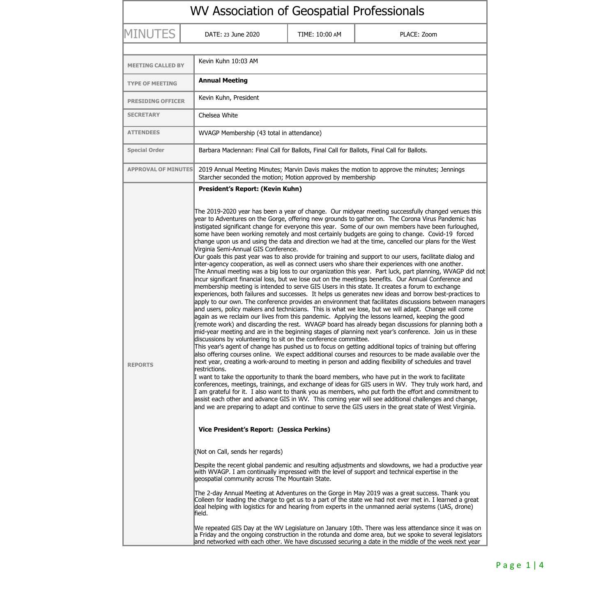| WV Association of Geospatial Professionals |                                                                                                                                                                                                                                                                                                                                                                                                                                                                                                                                                                                                                                                                                                                                                                                                                                                                                                                                                                                                                                                                                                                                                                                                                                                                                                                                                                                                                                                                                                                                                                                                                                                                                                                                                                                                                                                                                                                                                                                                                                                                                                                                                                                                                                                                                                                                                                                                                                                                                                                                                                                                                                                                                                                                                                                                                                                                                                                                                                                                                                                                                                                                                                                                                                                                                                                                                                                                                                                                                                                                                                                                                                                                  |                                           |             |  |  |
|--------------------------------------------|------------------------------------------------------------------------------------------------------------------------------------------------------------------------------------------------------------------------------------------------------------------------------------------------------------------------------------------------------------------------------------------------------------------------------------------------------------------------------------------------------------------------------------------------------------------------------------------------------------------------------------------------------------------------------------------------------------------------------------------------------------------------------------------------------------------------------------------------------------------------------------------------------------------------------------------------------------------------------------------------------------------------------------------------------------------------------------------------------------------------------------------------------------------------------------------------------------------------------------------------------------------------------------------------------------------------------------------------------------------------------------------------------------------------------------------------------------------------------------------------------------------------------------------------------------------------------------------------------------------------------------------------------------------------------------------------------------------------------------------------------------------------------------------------------------------------------------------------------------------------------------------------------------------------------------------------------------------------------------------------------------------------------------------------------------------------------------------------------------------------------------------------------------------------------------------------------------------------------------------------------------------------------------------------------------------------------------------------------------------------------------------------------------------------------------------------------------------------------------------------------------------------------------------------------------------------------------------------------------------------------------------------------------------------------------------------------------------------------------------------------------------------------------------------------------------------------------------------------------------------------------------------------------------------------------------------------------------------------------------------------------------------------------------------------------------------------------------------------------------------------------------------------------------------------------------------------------------------------------------------------------------------------------------------------------------------------------------------------------------------------------------------------------------------------------------------------------------------------------------------------------------------------------------------------------------------------------------------------------------------------------------------------------------|-------------------------------------------|-------------|--|--|
| <b>MINUTES</b>                             | DATE: 23 June 2020                                                                                                                                                                                                                                                                                                                                                                                                                                                                                                                                                                                                                                                                                                                                                                                                                                                                                                                                                                                                                                                                                                                                                                                                                                                                                                                                                                                                                                                                                                                                                                                                                                                                                                                                                                                                                                                                                                                                                                                                                                                                                                                                                                                                                                                                                                                                                                                                                                                                                                                                                                                                                                                                                                                                                                                                                                                                                                                                                                                                                                                                                                                                                                                                                                                                                                                                                                                                                                                                                                                                                                                                                                               | TIME: 10:00 AM                            | PLACE: Zoom |  |  |
| <b>MEETING CALLED BY</b>                   | Kevin Kuhn 10:03 AM                                                                                                                                                                                                                                                                                                                                                                                                                                                                                                                                                                                                                                                                                                                                                                                                                                                                                                                                                                                                                                                                                                                                                                                                                                                                                                                                                                                                                                                                                                                                                                                                                                                                                                                                                                                                                                                                                                                                                                                                                                                                                                                                                                                                                                                                                                                                                                                                                                                                                                                                                                                                                                                                                                                                                                                                                                                                                                                                                                                                                                                                                                                                                                                                                                                                                                                                                                                                                                                                                                                                                                                                                                              |                                           |             |  |  |
| <b>TYPE OF MEETING</b>                     | <b>Annual Meeting</b>                                                                                                                                                                                                                                                                                                                                                                                                                                                                                                                                                                                                                                                                                                                                                                                                                                                                                                                                                                                                                                                                                                                                                                                                                                                                                                                                                                                                                                                                                                                                                                                                                                                                                                                                                                                                                                                                                                                                                                                                                                                                                                                                                                                                                                                                                                                                                                                                                                                                                                                                                                                                                                                                                                                                                                                                                                                                                                                                                                                                                                                                                                                                                                                                                                                                                                                                                                                                                                                                                                                                                                                                                                            |                                           |             |  |  |
| <b>PRESIDING OFFICER</b>                   | Kevin Kuhn, President                                                                                                                                                                                                                                                                                                                                                                                                                                                                                                                                                                                                                                                                                                                                                                                                                                                                                                                                                                                                                                                                                                                                                                                                                                                                                                                                                                                                                                                                                                                                                                                                                                                                                                                                                                                                                                                                                                                                                                                                                                                                                                                                                                                                                                                                                                                                                                                                                                                                                                                                                                                                                                                                                                                                                                                                                                                                                                                                                                                                                                                                                                                                                                                                                                                                                                                                                                                                                                                                                                                                                                                                                                            |                                           |             |  |  |
| <b>SECRETARY</b>                           | Chelsea White                                                                                                                                                                                                                                                                                                                                                                                                                                                                                                                                                                                                                                                                                                                                                                                                                                                                                                                                                                                                                                                                                                                                                                                                                                                                                                                                                                                                                                                                                                                                                                                                                                                                                                                                                                                                                                                                                                                                                                                                                                                                                                                                                                                                                                                                                                                                                                                                                                                                                                                                                                                                                                                                                                                                                                                                                                                                                                                                                                                                                                                                                                                                                                                                                                                                                                                                                                                                                                                                                                                                                                                                                                                    |                                           |             |  |  |
| <b>ATTENDEES</b>                           |                                                                                                                                                                                                                                                                                                                                                                                                                                                                                                                                                                                                                                                                                                                                                                                                                                                                                                                                                                                                                                                                                                                                                                                                                                                                                                                                                                                                                                                                                                                                                                                                                                                                                                                                                                                                                                                                                                                                                                                                                                                                                                                                                                                                                                                                                                                                                                                                                                                                                                                                                                                                                                                                                                                                                                                                                                                                                                                                                                                                                                                                                                                                                                                                                                                                                                                                                                                                                                                                                                                                                                                                                                                                  | WVAGP Membership (43 total in attendance) |             |  |  |
| <b>Special Order</b>                       | Barbara Maclennan: Final Call for Ballots, Final Call for Ballots, Final Call for Ballots.                                                                                                                                                                                                                                                                                                                                                                                                                                                                                                                                                                                                                                                                                                                                                                                                                                                                                                                                                                                                                                                                                                                                                                                                                                                                                                                                                                                                                                                                                                                                                                                                                                                                                                                                                                                                                                                                                                                                                                                                                                                                                                                                                                                                                                                                                                                                                                                                                                                                                                                                                                                                                                                                                                                                                                                                                                                                                                                                                                                                                                                                                                                                                                                                                                                                                                                                                                                                                                                                                                                                                                       |                                           |             |  |  |
| <b>APPROVAL OF MINUTES</b>                 | 2019 Annual Meeting Minutes; Marvin Davis makes the motion to approve the minutes; Jennings<br>Starcher seconded the motion; Motion approved by membership                                                                                                                                                                                                                                                                                                                                                                                                                                                                                                                                                                                                                                                                                                                                                                                                                                                                                                                                                                                                                                                                                                                                                                                                                                                                                                                                                                                                                                                                                                                                                                                                                                                                                                                                                                                                                                                                                                                                                                                                                                                                                                                                                                                                                                                                                                                                                                                                                                                                                                                                                                                                                                                                                                                                                                                                                                                                                                                                                                                                                                                                                                                                                                                                                                                                                                                                                                                                                                                                                                       |                                           |             |  |  |
| <b>REPORTS</b>                             | President's Report: (Kevin Kuhn)<br>The 2019-2020 year has been a year of change. Our midyear meeting successfully changed venues this<br>year to Adventures on the Gorge, offering new grounds to gather on. The Corona Virus Pandemic has<br>instigated significant change for everyone this year. Some of our own members have been furloughed,<br>some have been working remotely and most certainly budgets are going to change. Covid-19 forced<br>change upon us and using the data and direction we had at the time, cancelled our plans for the West<br>Virginia Semi-Annual GIS Conference.<br>Our goals this past year was to also provide for training and support to our users, facilitate dialog and<br>inter-agency cooperation, as well as connect users who share their experiences with one another.<br>The Annual meeting was a big loss to our organization this year. Part luck, part planning, WVAGP did not<br>incur significant financial loss, but we lose out on the meetings benefits. Our Annual Conference and<br>membership meeting is intended to serve GIS Users in this state. It creates a forum to exchange<br>experiences, both failures and successes. It helps us generates new ideas and borrow best-practices to<br>apply to our own. The conference provides an environment that facilitates discussions between managers<br>and users, policy makers and technicians. This is what we lose, but we will adapt. Change will come<br>again as we reclaim our lives from this pandemic. Applying the lessons learned, keeping the good<br>(remote work) and discarding the rest. WVAGP board has already began discussions for planning both a<br>mid-year meeting and are in the beginning stages of planning next year's conference. Join us in these<br>discussions by volunteering to sit on the conference committee.<br>This year's agent of change has pushed us to focus on getting additional topics of training but offering<br>also offering courses online. We expect additional courses and resources to be made available over the<br>next year, creating a work-around to meeting in person and adding flexibility of schedules and travel<br>restrictions.<br>I want to take the opportunity to thank the board members, who have put in the work to facilitate<br>conferences, meetings, trainings, and exchange of ideas for GIS users in WV. They truly work hard, and<br>I am grateful for it. I also want to thank you as members, who put forth the effort and commitment to<br>assist each other and advance GIS in WV. This coming year will see additional challenges and change,<br>and we are preparing to adapt and continue to serve the GIS users in the great state of West Virginia.<br>Vice President's Report: (Jessica Perkins)<br>(Not on Call, sends her regards)<br>Despite the recent global pandemic and resulting adjustments and slowdowns, we had a productive year<br>with WVAGP. I am continually impressed with the level of support and technical expertise in the<br>geospatial community across The Mountain State.<br>The 2-day Annual Meeting at Adventures on the Gorge in May 2019 was a great success. Thank you<br>Colleen for leading the charge to get us to a part of the state we had not ever met in. I learned a great<br>deal helping with logistics for and hearing from experts in the unmanned aerial systems (UAS, drone)<br>∥field.<br>We repeated GIS Day at the WV Legislature on January 10th. There was less attendance since it was on<br>a Friday and the ongoing construction in the rotunda and dome area, but we spoke to several legislators |                                           |             |  |  |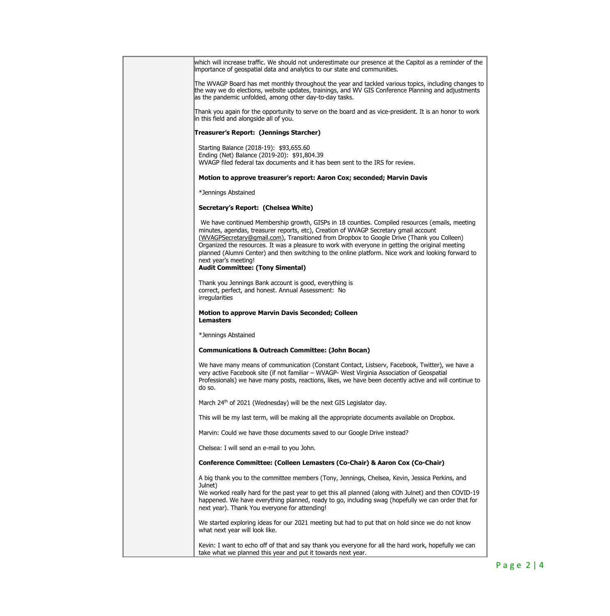| which will increase traffic. We should not underestimate our presence at the Capitol as a reminder of the<br>importance of geospatial data and analytics to our state and communities.                                                                                                                                                                                                                                                                                                                                                                            |  |  |  |  |
|-------------------------------------------------------------------------------------------------------------------------------------------------------------------------------------------------------------------------------------------------------------------------------------------------------------------------------------------------------------------------------------------------------------------------------------------------------------------------------------------------------------------------------------------------------------------|--|--|--|--|
| The WVAGP Board has met monthly throughout the year and tackled various topics, including changes to<br>the way we do elections, website updates, trainings, and WV GIS Conference Planning and adjustments<br>as the pandemic unfolded, among other day-to-day tasks.                                                                                                                                                                                                                                                                                            |  |  |  |  |
| Thank you again for the opportunity to serve on the board and as vice-president. It is an honor to work<br>in this field and alongside all of you.                                                                                                                                                                                                                                                                                                                                                                                                                |  |  |  |  |
| Treasurer's Report: (Jennings Starcher)                                                                                                                                                                                                                                                                                                                                                                                                                                                                                                                           |  |  |  |  |
| Starting Balance (2018-19): \$93,655.60<br>Ending (Net) Balance (2019-20): \$91,804.39<br>WVAGP filed federal tax documents and it has been sent to the IRS for review.                                                                                                                                                                                                                                                                                                                                                                                           |  |  |  |  |
| Motion to approve treasurer's report: Aaron Cox; seconded; Marvin Davis                                                                                                                                                                                                                                                                                                                                                                                                                                                                                           |  |  |  |  |
| *Jennings Abstained                                                                                                                                                                                                                                                                                                                                                                                                                                                                                                                                               |  |  |  |  |
| Secretary's Report: (Chelsea White)                                                                                                                                                                                                                                                                                                                                                                                                                                                                                                                               |  |  |  |  |
| We have continued Membership growth, GISPs in 18 counties. Compiled resources (emails, meeting<br>minutes, agendas, treasurer reports, etc), Creation of WVAGP Secretary gmail account<br>(WVAGPSecretary@gmail.com), Transitioned from Dropbox to Google Drive (Thank you Colleen)<br>Organized the resources. It was a pleasure to work with everyone in getting the original meeting<br>planned (Alumni Center) and then switching to the online platform. Nice work and looking forward to<br>next year's meeting!<br><b>Audit Committee: (Tony Simental)</b> |  |  |  |  |
| Thank you Jennings Bank account is good, everything is<br>correct, perfect, and honest. Annual Assessment: No<br>irregularities                                                                                                                                                                                                                                                                                                                                                                                                                                   |  |  |  |  |
| <b>Motion to approve Marvin Davis Seconded; Colleen</b><br><b>Lemasters</b>                                                                                                                                                                                                                                                                                                                                                                                                                                                                                       |  |  |  |  |
| *Jennings Abstained                                                                                                                                                                                                                                                                                                                                                                                                                                                                                                                                               |  |  |  |  |
| <b>Communications &amp; Outreach Committee: (John Bocan)</b>                                                                                                                                                                                                                                                                                                                                                                                                                                                                                                      |  |  |  |  |
| We have many means of communication (Constant Contact, Listserv, Facebook, Twitter), we have a<br>very active Facebook site (if not familiar - WVAGP- West Virginia Association of Geospatial<br>Professionals) we have many posts, reactions, likes, we have been decently active and will continue to<br>do so.                                                                                                                                                                                                                                                 |  |  |  |  |
| March 24th of 2021 (Wednesday) will be the next GIS Legislator day.                                                                                                                                                                                                                                                                                                                                                                                                                                                                                               |  |  |  |  |
| This will be my last term, will be making all the appropriate documents available on Dropbox.                                                                                                                                                                                                                                                                                                                                                                                                                                                                     |  |  |  |  |
| Marvin: Could we have those documents saved to our Google Drive instead?                                                                                                                                                                                                                                                                                                                                                                                                                                                                                          |  |  |  |  |
| Chelsea: I will send an e-mail to you John.                                                                                                                                                                                                                                                                                                                                                                                                                                                                                                                       |  |  |  |  |
| Conference Committee: (Colleen Lemasters (Co-Chair) & Aaron Cox (Co-Chair)                                                                                                                                                                                                                                                                                                                                                                                                                                                                                        |  |  |  |  |
| A big thank you to the committee members (Tony, Jennings, Chelsea, Kevin, Jessica Perkins, and<br>Julnet)<br>We worked really hard for the past year to get this all planned (along with Julnet) and then COVID-19<br>happened. We have everything planned, ready to go, including swag (hopefully we can order that for<br>next year). Thank You everyone for attending!                                                                                                                                                                                         |  |  |  |  |
| We started exploring ideas for our 2021 meeting but had to put that on hold since we do not know<br>what next year will look like.                                                                                                                                                                                                                                                                                                                                                                                                                                |  |  |  |  |
| Kevin: I want to echo off of that and say thank you everyone for all the hard work, hopefully we can<br>take what we planned this year and put it towards next year.                                                                                                                                                                                                                                                                                                                                                                                              |  |  |  |  |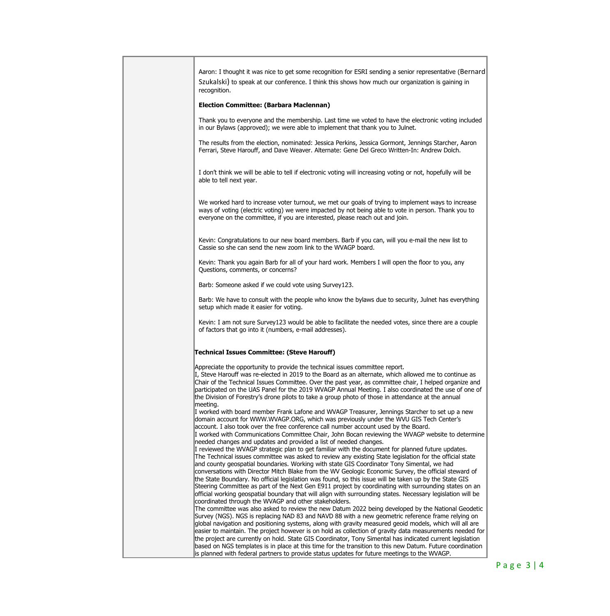| [Bernard] Aaron: I thought it was nice to get some recognition for ESRI sending a senior representative (Bernard<br>Szukalski) to speak at our conference. I think this shows how much our organization is gaining in<br>recognition.                                                                                                                                                                                                                                                                                                                                                                                                                                                                                                                                                                             |  |  |  |
|-------------------------------------------------------------------------------------------------------------------------------------------------------------------------------------------------------------------------------------------------------------------------------------------------------------------------------------------------------------------------------------------------------------------------------------------------------------------------------------------------------------------------------------------------------------------------------------------------------------------------------------------------------------------------------------------------------------------------------------------------------------------------------------------------------------------|--|--|--|
| <b>Election Committee: (Barbara Maclennan)</b>                                                                                                                                                                                                                                                                                                                                                                                                                                                                                                                                                                                                                                                                                                                                                                    |  |  |  |
| Thank you to everyone and the membership. Last time we voted to have the electronic voting included<br>in our Bylaws (approved); we were able to implement that thank you to Julnet.                                                                                                                                                                                                                                                                                                                                                                                                                                                                                                                                                                                                                              |  |  |  |
| The results from the election, nominated: Jessica Perkins, Jessica Gormont, Jennings Starcher, Aaron<br>Ferrari, Steve Harouff, and Dave Weaver. Alternate: Gene Del Greco Written-In: Andrew Dolch.                                                                                                                                                                                                                                                                                                                                                                                                                                                                                                                                                                                                              |  |  |  |
| I don't think we will be able to tell if electronic voting will increasing voting or not, hopefully will be<br>able to tell next year.                                                                                                                                                                                                                                                                                                                                                                                                                                                                                                                                                                                                                                                                            |  |  |  |
| We worked hard to increase voter turnout, we met our goals of trying to implement ways to increase<br>ways of voting (electric voting) we were impacted by not being able to vote in person. Thank you to<br>everyone on the committee, if you are interested, please reach out and join.                                                                                                                                                                                                                                                                                                                                                                                                                                                                                                                         |  |  |  |
| Kevin: Congratulations to our new board members. Barb if you can, will you e-mail the new list to<br>Cassie so she can send the new zoom link to the WVAGP board.                                                                                                                                                                                                                                                                                                                                                                                                                                                                                                                                                                                                                                                 |  |  |  |
| Kevin: Thank you again Barb for all of your hard work. Members I will open the floor to you, any<br>Questions, comments, or concerns?                                                                                                                                                                                                                                                                                                                                                                                                                                                                                                                                                                                                                                                                             |  |  |  |
| Barb: Someone asked if we could vote using Survey123.                                                                                                                                                                                                                                                                                                                                                                                                                                                                                                                                                                                                                                                                                                                                                             |  |  |  |
| Barb: We have to consult with the people who know the bylaws due to security, Julnet has everything<br>setup which made it easier for voting.                                                                                                                                                                                                                                                                                                                                                                                                                                                                                                                                                                                                                                                                     |  |  |  |
| Kevin: I am not sure Survey123 would be able to facilitate the needed votes, since there are a couple<br>of factors that go into it (numbers, e-mail addresses).                                                                                                                                                                                                                                                                                                                                                                                                                                                                                                                                                                                                                                                  |  |  |  |
| <b>Technical Issues Committee: (Steve Harouff)</b>                                                                                                                                                                                                                                                                                                                                                                                                                                                                                                                                                                                                                                                                                                                                                                |  |  |  |
| Appreciate the opportunity to provide the technical issues committee report.<br>I, Steve Harouff was re-elected in 2019 to the Board as an alternate, which allowed me to continue as<br>Chair of the Technical Issues Committee. Over the past year, as committee chair, I helped organize and<br>participated on the UAS Panel for the 2019 WVAGP Annual Meeting. I also coordinated the use of one of<br>the Division of Forestry's drone pilots to take a group photo of those in attendance at the annual<br>meeting.<br>I worked with board member Frank Lafone and WVAGP Treasurer, Jennings Starcher to set up a new                                                                                                                                                                                      |  |  |  |
| domain account for WWW.WVAGP.ORG, which was previously under the WVU GIS Tech Center's<br>account. I also took over the free conference call number account used by the Board.<br>I worked with Communications Committee Chair, John Bocan reviewing the WVAGP website to determine<br>needed changes and updates and provided a list of needed changes.                                                                                                                                                                                                                                                                                                                                                                                                                                                          |  |  |  |
| I reviewed the WVAGP strategic plan to get familiar with the document for planned future updates.<br>The Technical issues committee was asked to review any existing State legislation for the official state<br>and county geospatial boundaries. Working with state GIS Coordinator Tony Simental, we had<br>conversations with Director Mitch Blake from the WV Geologic Economic Survey, the official steward of<br>the State Boundary. No official legislation was found, so this issue will be taken up by the State GIS<br>Steering Committee as part of the Next Gen E911 project by coordinating with surrounding states on an<br>official working geospatial boundary that will align with surrounding states. Necessary legislation will be                                                            |  |  |  |
| coordinated through the WVAGP and other stakeholders.<br>The committee was also asked to review the new Datum 2022 being developed by the National Geodetic<br>Survey (NGS). NGS is replacing NAD 83 and NAVD 88 with a new geometric reference frame relying on<br>global navigation and positioning systems, along with gravity measured geoid models, which will all are<br>easier to maintain. The project however is on hold as collection of gravity data measurements needed for<br>the project are currently on hold. State GIS Coordinator, Tony Simental has indicated current legislation<br>based on NGS templates is in place at this time for the transition to this new Datum. Future coordination<br>is planned with federal partners to provide status updates for future meetings to the WVAGP. |  |  |  |